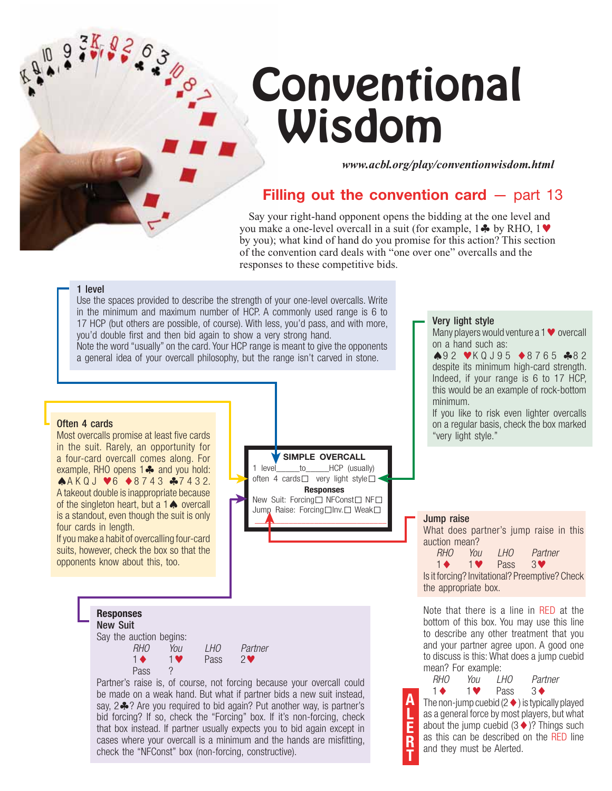## **Conventional** Wisdom

*www.acbl.org/play/conventionwisdom.html*

## **Filling out the convention card – part 13**

Say your right-hand opponent opens the bidding at the one level and you make a one-level overcall in a suit (for example,  $1 \clubsuit$  by RHO,  $1 \blacktriangledown$ by you); what kind of hand do you promise for this action? This section of the convention card deals with "one over one" overcalls and the responses to these competitive bids.

### 1 level

Use the spaces provided to describe the strength of your one-level overcalls. Write in the minimum and maximum number of HCP. A commonly used range is 6 to 17 HCP (but others are possible, of course). With less, you'd pass, and with more, you'd double first and then bid again to show a very strong hand. Note the word "usually" on the card. Your HCP range is meant to give the opponents a general idea of your overcall philosophy, but the range isn't carved in stone.

#### Often 4 cards

Most overcalls promise at least five cards in the suit. Rarely, an opportunity for a four-card overcall comes along. For example, RHO opens  $1 \clubsuit$  and you hold:  $AAKQJ \blacktriangleright 8743 A7432.$ A takeout double is inappropriate because of the singleton heart, but a  $1 \spadesuit$  overcall is a standout, even though the suit is only four cards in length.

If you make a habit of overcalling four-card suits, however, check the box so that the opponents know about this, too.





Partner's raise is, of course, not forcing because your overcall could be made on a weak hand. But what if partner bids a new suit instead, say,  $2\clubsuit$ ? Are you required to bid again? Put another way, is partner's bid forcing? If so, check the "Forcing" box. If it's non-forcing, check that box instead. If partner usually expects you to bid again except in cases where your overcall is a minimum and the hands are misfitting, check the "NFConst" box (non-forcing, constructive).

**A L E** Jump raise What does partner's jump raise in this auction mean?  *RHO You LHO Partner* 1-1 $\triangledown$  Pass 3 $\triangledown$ Is it forcing? Invitational? Preemptive? Check the appropriate box. Note that there is a line in RED at the bottom of this box. You may use this line to describe any other treatment that you and your partner agree upon. A good one to discuss is this: What does a jump cuebid mean? For example: *RHO You LHO Partner* 1- $1 \bullet$  Pass  $3 \bullet$ The non-jump cuebid (2  $\blacklozenge$  ) is typically played as a general force by most players, but what Very light style Many players would venture a  $1 \blacktriangledown$  overcall on a hand such as: **A92 VKQJ95 ◆8765 ↑82** despite its minimum high-card strength. Indeed, if your range is 6 to 17 HCP, this would be an example of rock-bottom minimum. If you like to risk even lighter overcalls on a regular basis, check the box marked "very light style."

about the jump cuebid  $(3 \blacklozenge)$ ? Things such as this can be described on the RED line and they must be Alerted.

**R T**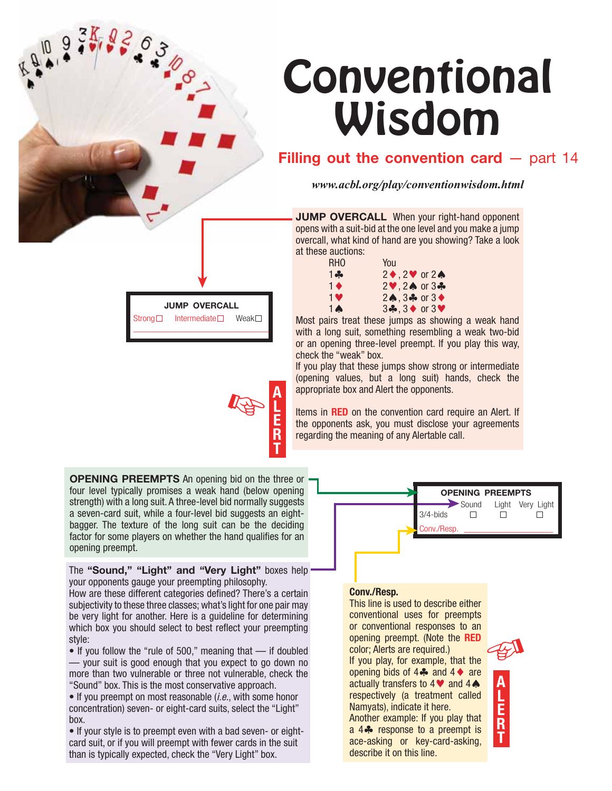# **Conventional** Wisdom

## **Filling out the convention card** – part 14

*www.acbl.org/play/conventionwisdom.html*

**JUMP OVERCALL** When your right-hand opponent opens with a suit-bid at the one level and you make a jump overcall, what kind of hand are you showing? Take a look at these auctions:

| You                                                             |
|-----------------------------------------------------------------|
| $2 \blacklozenge$ , $2 \blacktriangledown$ or $2 \blacklozenge$ |
| $2\blacktriangledown, 2\spadesuit$ or $3\clubsuit$              |
| $2\spadesuit$ . $3\clubsuit$ or $3\spadesuit$                   |
| $3\clubsuit$ , $3\spadesuit$ or $3\heartsuit$                   |
|                                                                 |

Most pairs treat these jumps as showing a weak hand with a long suit, something resembling a weak two-bid or an opening three-level preempt. If you play this way, check the "weak" box.

If you play that these jumps show strong or intermediate (opening values, but a long suit) hands, check the appropriate box and Alert the opponents.

Items in **RED** on the convention card require an Alert. If the opponents ask, you must disclose your agreements regarding the meaning of any Alertable call.

➤

➤

**OPENING PREEMPTS** An opening bid on the three or four level typically promises a weak hand (below opening strength) with a long suit. A three-level bid normally suggests a seven-card suit, while a four-level bid suggests an eightbagger. The texture of the long suit can be the deciding factor for some players on whether the hand qualifies for an opening preempt.

➤

- 20-

**JUMP OVERCALL** Strong  $\Box$  Intermediate  $\Box$  Weak  $\Box$ \_\_\_\_\_\_\_\_\_\_\_\_\_\_\_\_\_\_\_\_\_\_\_\_\_\_\_\_\_\_\_\_

The **"Sound," "Light" and "Very Light"** boxes help your opponents gauge your preempting philosophy.

How are these different categories defined? There's a certain subjectivity to these three classes; what's light for one pair may be very light for another. Here is a guideline for determining which box you should select to best reflect your preempting style:

• If you follow the "rule of 500," meaning that — if doubled — your suit is good enough that you expect to go down no more than two vulnerable or three not vulnerable, check the "Sound" box. This is the most conservative approach.

• If you preempt on most reasonable (*i.e.*, with some honor concentration) seven- or eight-card suits, select the "Light" box.

• If your style is to preempt even with a bad seven- or eightcard suit, or if you will preempt with fewer cards in the suit than is typically expected, check the "Very Light" box.

## **Conv./Resp.**

This line is used to describe either conventional uses for preempts or conventional responses to an opening preempt. (Note the **RED**  color; Alerts are required.) If you play, for example, that the opening bids of  $4\clubsuit$  and  $4\spadesuit$  are actually transfers to  $4 \blacktriangleright 4$  and  $4 \blacktriangle$ respectively (a treatment called Namyats), indicate it here.

Another example: If you play that a 4<sup>%</sup> response to a preempt is ace-asking or key-card-asking, describe it on this line.



Sound

 $\Box$ 

3/4-bids Conv./Resp.

**OPENING PREEMPTS**

 $\Box$ 

Light Very Light

 $\Box$ 



**A L E R** ☞

**T**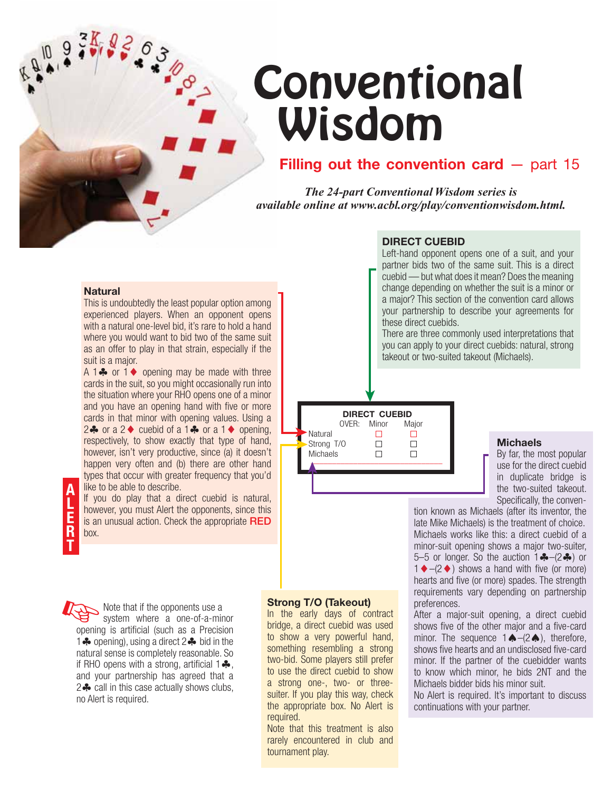# **Conventional** Wisdom

## **Filling out the convention card – part 15**

*The 24-part Conventional Wisdom series is available online at www.acbl.org/play/conventionwisdom.html.*

## **DIRECT CUEBID**

Left-hand opponent opens one of a suit, and your partner bids two of the same suit. This is a direct cuebid — but what does it mean? Does the meaning change depending on whether the suit is a minor or a major? This section of the convention card allows your partnership to describe your agreements for these direct cuebids.

There are three commonly used interpretations that you can apply to your direct cuebids: natural, strong takeout or two-suited takeout (Michaels).

**DIRECT CUEBID** OVER: Minor Major Natural  $\Box$  $\Box$  $\Box$  $\Box$  Strong T/O Michaels **D** ➤

➤

### **Michaels**

By far, the most popular use for the direct cuebid in duplicate bridge is the two-suited takeout. Specifically, the conven-

tion known as Michaels (after its inventor, the late Mike Michaels) is the treatment of choice. Michaels works like this: a direct cuebid of a minor-suit opening shows a major two-suiter, 5–5 or longer. So the auction  $1 - (-2)$  or  $1 \blacklozenge - (2 \blacklozenge)$  shows a hand with five (or more) hearts and five (or more) spades. The strength requirements vary depending on partnership preferences.

After a major-suit opening, a direct cuebid shows five of the other major and a five-card minor. The sequence  $1 \bigoplus - (2 \bigoplus)$ , therefore, shows five hearts and an undisclosed five-card minor. If the partner of the cuebidder wants to know which minor, he bids 2NT and the Michaels bidder bids his minor suit.

No Alert is required. It's important to discuss continuations with your partner.

### **Natural**

This is undoubtedly the least popular option among experienced players. When an opponent opens with a natural one-level bid, it's rare to hold a hand where you would want to bid two of the same suit as an offer to play in that strain, especially if the suit is a major.

A 1 $\clubsuit$  or 1 $\spadesuit$  opening may be made with three cards in the suit, so you might occasionally run into the situation where your RHO opens one of a minor and you have an opening hand with five or more cards in that minor with opening values. Using a  $2 \clubsuit$  or a  $2 \spadesuit$  cuebid of a  $1 \clubsuit$  or a  $1 \spadesuit$  opening, respectively, to show exactly that type of hand, however, isn't very productive, since (a) it doesn't happen very often and (b) there are other hand types that occur with greater frequency that you'd like to be able to describe.

If you do play that a direct cuebid is natural, however, you must Alert the opponents, since this is an unusual action. Check the appropriate **RED** box.

☞ Note that if the opponents use a system where a one-of-a-minor opening is artificial (such as a Precision 1 **\*** opening), using a direct 2 **\*** bid in the natural sense is completely reasonable. So if RHO opens with a strong, artificial  $1\clubsuit$ , and your partnership has agreed that a 2- call in this case actually shows clubs, no Alert is required.

### **Strong T/O (Takeout)**

➤ ➤

In the early days of contract bridge, a direct cuebid was used to show a very powerful hand, something resembling a strong two-bid. Some players still prefer to use the direct cuebid to show a strong one-, two- or threesuiter. If you play this way, check the appropriate box. No Alert is required.

Note that this treatment is also rarely encountered in club and tournament play.

**A L E R T**